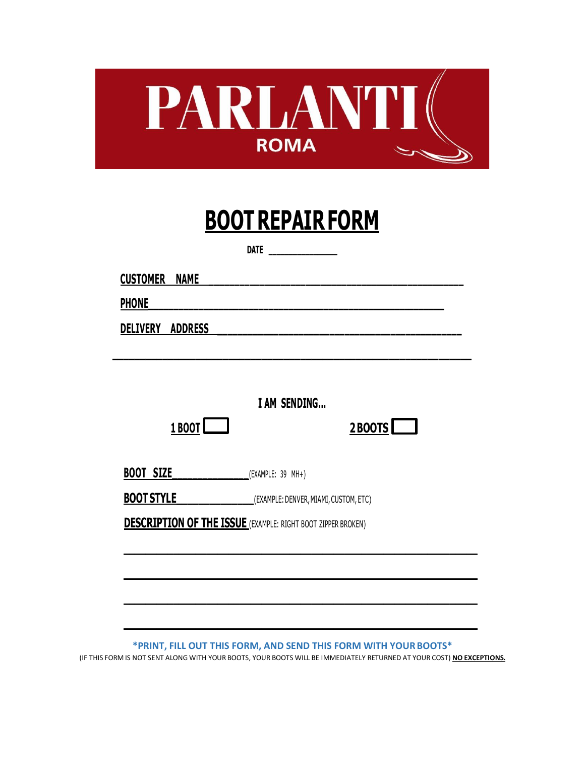

|                             | DATE                                                                |
|-----------------------------|---------------------------------------------------------------------|
| <b>CUSTOMER NAME</b>        |                                                                     |
| <b>PHONE</b>                |                                                                     |
| DELIVERY ADDRESS            |                                                                     |
|                             |                                                                     |
|                             |                                                                     |
| 1 BOOT                      | I AM SENDING<br>$2$ BOOTS                                           |
| BOOT SIZE (EXAMPLE: 39 MH+) |                                                                     |
| <b>BOOT STYLE</b>           | _______________(EXAMPLE: DENVER, MIAMI, CUSTOM, ETC)                |
|                             | <b>DESCRIPTION OF THE ISSUE</b> (EXAMPLE: RIGHT BOOT ZIPPER BROKEN) |
|                             |                                                                     |
|                             |                                                                     |
|                             |                                                                     |
|                             |                                                                     |

**\*PRINT, FILL OUT THIS FORM, AND SEND THIS FORM WITH YOURBOOTS\*** (IF THIS FORM IS NOT SENT ALONG WITH YOUR BOOTS, YOUR BOOTS WILL BE IMMEDIATELY RETURNED AT YOUR COST) **NO EXCEPTIONS.**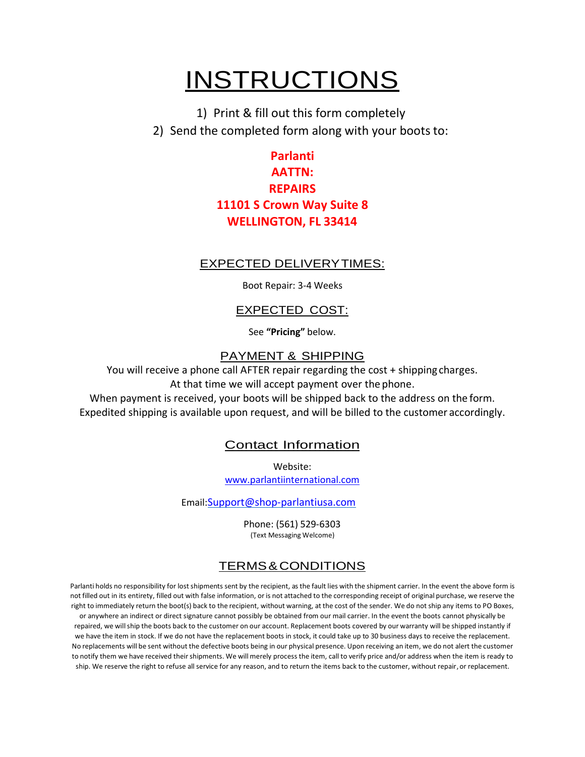## **INSTRUCTIONS**

1) Print & fill out this form completely 2) Send the completed form along with your boots to:

### **Parlanti AATTN: REPAIRS 11101 S Crown Way Suite 8 WELLINGTON, FL 33414**

#### EXPECTED DELIVERYTIMES:

Boot Repair: 3-4 Weeks

#### EXPECTED COST:

See **"Pricing"** below.

#### PAYMENT & SHIPPING

You will receive a phone call AFTER repair regarding the cost + shipping charges. At that time we will accept payment over the phone.

When payment is received, your boots will be shipped back to the address on the form. Expedited shipping is available upon request, and will be billed to the customer accordingly.

#### Contact Information

Website:

[www.parlantiinternational.com](http://www.parlantiinternational.com/)

Email:[Support@shop-parlantiusa.com](mailto:Support@shop-parlantiusa.com)

Phone: (561) 529-6303 (Text Messaging Welcome)

#### TERMS&CONDITIONS

Parlanti holds no responsibility for lost shipments sent by the recipient, as the fault lies with the shipment carrier. In the event the above form is not filled out in its entirety, filled out with false information, or is not attached to the corresponding receipt of original purchase, we reserve the right to immediately return the boot(s) back to the recipient, without warning, at the cost of the sender. We do not ship any items to PO Boxes, or anywhere an indirect or direct signature cannot possibly be obtained from our mail carrier. In the event the boots cannot physically be repaired, we willship the boots back to the customer on our account. Replacement boots covered by our warranty will be shipped instantly if we have the item in stock. If we do not have the replacement boots in stock, it could take up to 30 business days to receive the replacement. No replacements will be sent without the defective boots being in our physical presence. Upon receiving an item, we do not alert the customer to notify them we have received their shipments. We will merely process the item, call to verify price and/or address when the item is ready to ship. We reserve the right to refuse all service for any reason, and to return the items back to the customer, without repair,or replacement.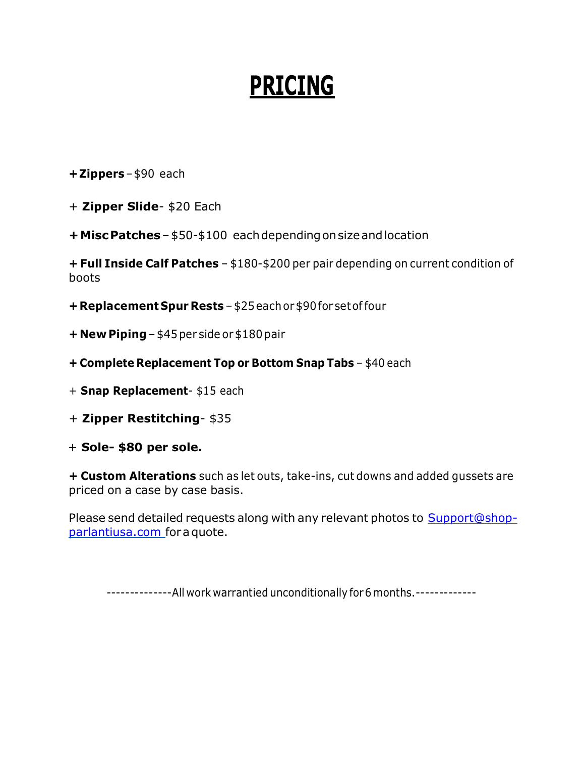# **PRICING**

**+Zippers**–\$90 each

+ **Zipper Slide**- \$20 Each

**+MiscPatches**–\$50-\$100 eachdependingonsizeandlocation

**+ Full Inside Calf Patches** – \$180-\$200 per pair depending on current condition of boots

**+ Replacement Spur Rests** – \$25eachor \$90for setoffour

- **+ New Piping** \$45 per side or \$180 pair
- **+ Complete Replacement Top or Bottom Snap Tabs** \$40 each
- + **Snap Replacement** \$15 each
- + **Zipper Restitching** \$35
- + **Sole- \$80 per sole.**

**+ Custom Alterations** such as let outs, take-ins, cut downs and added gussets are priced on a case by case basis.

Please send detailed requests along with any relevant photos to [Support@shop](mailto:Support@shop-parlantiusa.com)[parlantiusa.com](mailto:Support@shop-parlantiusa.com) foraquote.

--------------All work warrantied unconditionally for 6 months. --------------